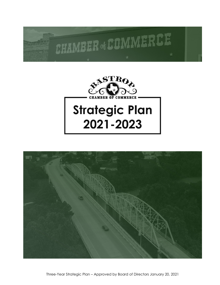# CHAMBER of COMMERC



# **Strategic Plan** 2021-2023



Three-Year Strategic Plan – Approved by Board of Directors January 20, 2021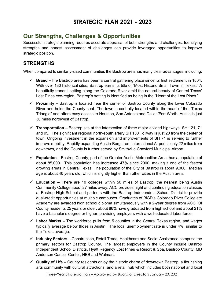# **STRATEGIC PLAN 2021 - 2023**

# **Our Strengths, Challenges & Opportunities**

Successful strategic planning requires accurate appraisal of both strengths and challenges. Identifying strengths and honest assessment of challenges can provide leveraged opportunities to improve strategic position.

# **STRENGTHS**

When compared to similarly-sized communities the Bastrop area has many clear advantages, including:

- **Brand –**The Bastrop area has been a central gathering place since its first settlement in 1804. With over 130 historical sites, Bastrop earns its title of "Most Historic Small Town in Texas." A beautifully tranquil setting along the Colorado River amid the natural beauty of Central Texas' Lost Pines eco-region, Bastrop's setting is identified as being in the "Heart of the Lost Pines."
- **Proximity –** Bastrop is located near the center of Bastrop County along the lower Colorado River and holds the County seat. The town is centrally located within the heart of the "Texas Triangle" and offers easy access to Houston, San Antonio and Dallas/Fort Worth. Austin is just 30 miles northwest of Bastrop.
- **Transportation –** Bastrop sits at the intersection of three major divided highways: SH 121, 71 and 95. The significant regional north-south artery SH 130 Tollway is just 20 from the center of town. Ongoing investment in the expansion and improvements of SH 71 is serving to further improve mobility. Rapidly expanding Austin-Bergstrom International Airport is only 22 miles from downtown, and the County is further served by Smithville Crawford Municipal Airport.
- **Population –** Bastrop County, part of the Greater Austin Metropolitan Area, has a population of about 85,000. This population has increased 47% since 2000, making it one of the fastest growing areas in Central Texas. The population of the City of Bastrop is about 9,000. Median age is about 40 years old, which is slightly higher than other cities in the Austin area.
- **Education –** There are 10 colleges within 50 miles of Bastrop, the nearest being Austin Community College about 27 miles away. ACC provides night and continuing education classes at Bastrop High School and partners with the Bastrop Independent School District to provide dual-credit opportunities at multiple campuses. Graduates of BISD's Colorado River Collegiate Academy are awarded high school diploma simultaneously with a 2-year degree from ACC. Of County residents 25 years or older, about 86% have graduated from high school and about 21% have a bachelor's degree or higher, providing employers with a well-educated labor force.
- **Labor Market –** The workforce pulls from 5 counties in the Central Texas region, and wages typically average below those in Austin. The local unemployment rate is under 4%, similar to the Texas average.
- **Industry Sectors –** Construction, Retail Trade, Healthcare and Social Assistance comprise the primary sectors for Bastrop County. The largest employers in the County include Bastrop Independent School Districts, Hyatt Regency Lost Pines & Resort & Spa, Bastrop County, MD Anderson Cancer Center, HEB and Walmart.
- **Quality of Life –** County residents enjoy the historic charm of downtown Bastrop, a flourishing arts community with cultural attractions, and a retail hub which includes both national and local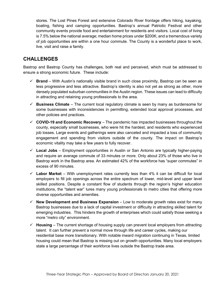stores. The Lost Pines Forest and extensive Colorado River frontage offers hiking, kayaking, boating, fishing and camping opportunities. Bastrop's annual Patriotic Festival and other community events provide food and entertainment for residents and visitors. Local cost of living is 7.5% below the national average; median home prices under \$200K; and a tremendous variety of job opportunities are within a one hour commute. The County is a wonderful place to work, live, visit and raise a family.

# **CHALLENGES**

Bastrop and Bastrop County has challenges, both real and perceived, which must be addressed to ensure a strong economic future. These include:

- $\checkmark$  **Brand** With Austin's nationally visible brand in such close proximity, Bastrop can be seen as less progressive and less attractive. Bastrop's identity is also not yet as strong as other, more densely populated suburban communities in the Austin region. These issues can lead to difficulty in attracting and retaining young professionals to the area.
- **Business Climate** The current local regulatory climate is seen by many as burdensome for some businesses with inconsistencies in permitting, extended local approval processes, and other policies and practices.
- **COVID-19 and Economic Recovery**  The pandemic has impacted businesses throughout the county, especially small businesses, who were hit the hardest, and residents who experienced job losses. Large events and gatherings were also canceled and impacted a loss of community engagement and spending from visitors outside of the county. The impact on Bastrop's economic vitality may take a few years to fully recover.
- **Local Jobs** Employment opportunities in Austin or San Antonio are typically higher-paying and require an average commute of 33 minutes or more. Only about 23% of those who live in Bastrop work in the Bastrop area. An estimated 42% of the workforce has "super commutes" in excess of 90 minutes.
- $\checkmark$  Labor Market With unemployment rates currently less than 4% it can be difficult for local employers to fill job openings across the entire spectrum of lower, mid-level and upper level skilled positions. Despite a constant flow of students through the region's higher education institutions, the "talent war" lures many young professionals to metro cities that offering more diverse opportunities and amenities.
- $\checkmark$  New Development and Business Expansion Low to moderate growth rates exist for many Bastrop businesses due to a lack of capital investment or difficulty in attracting skilled talent for emerging industries. This hinders the growth of enterprises which could satisfy those seeking a more "metro city" environment.
- **Housing** The current shortage of housing supply can prevent local employers from attracting talent. It can further prevent a normal move through life and career cycles, making our residential base more transitionary. With notable inward migration continuing in Texas, limited housing could mean that Bastrop is missing out on growth opportunities. Many local employers state a large percentage of their workforce lives outside the Bastrop trade area.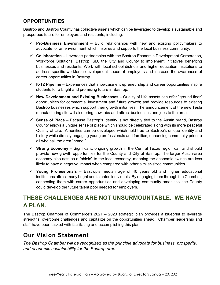## **OPPORTUNITIES**

Bastrop and Bastrop County has collective assets which can be leveraged to develop a sustainable and prosperous future for employers and residents, including:

- **Pro-Business Environment** Build relationships with new and existing policymakers to advocate for an environment which inspires and supports the local business community.
- **Collaboration** Leverage partnerships with the Bastrop Economic Development Corporation, Workforce Solutions, Bastrop ISD, the City and County to implement initiatives benefiting businesses and residents. Work with local school districts and higher education institutions to address specific workforce development needs of employers and increase the awareness of career opportunities in Bastrop.
- **K-12 Pipeline**  Experiences that showcase entrepreneurship and career opportunities inspire students for a bright and promising future in Bastrop.
- **New Development and Existing Businesses** Quality of Life assets can offer "ground floor" opportunities for commercial investment and future growth; and provide resources to existing Bastrop businesses which support their growth initiatives. The announcement of the new Tesla manufacturing site will also bring new jobs and attract businesses and jobs to the area.
- $\checkmark$  **Sense of Place** Because Bastrop's identity is not directly tied to the Austin brand, Bastrop County enjoys a unique sense of place which should be celebrated along with its more peaceful Quality of Life. Amenities can be developed which hold true to Bastrop's unique identity and history while directly engaging young professionals and families, enhancing community pride to all who call the area "home."
- $\checkmark$  **Strong Economy** Significant, ongoing growth in the Central Texas region can and should provide new growth opportunities for the County and City of Bastrop. The larger Austin-area economy also acts as a "shield" to the local economy, meaning the economic swings are less likely to have a negative impact when compared with other similar-sized communities.
- **Young Professionals** Bastrop's median age of 40 years old and higher educational institutions attract many bright and talented individuals. By engaging them through the Chamber, connecting them with career opportunities and developing community amenities, the County could develop the future talent pool needed for employers.

# **THESE CHALLENGES ARE NOT UNSURMOUNTABLE. WE HAVE A PLAN.**

The Bastrop Chamber of Commerce's 2021 – 2023 strategic plan provides a blueprint to leverage strengths, overcome challenges and capitalize on the opportunities ahead. Chamber leadership and staff have been tasked with facilitating and accomplishing this plan.

# **Our Vision Statement**

*The Bastrop Chamber will be recognized as the principle advocate for business, prosperity, and economic sustainability for the Bastrop area.*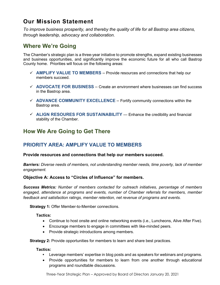# **Our Mission Statement**

*To improve business prosperity, and thereby the quality of life for all Bastrop area citizens, through leadership, advocacy and collaboration.*

# **Where We're Going**

The Chamber's strategic plan is a three-year initiative to promote strengths, expand existing businesses and business opportunities, and significantly improve the economic future for all who call Bastrop County home. Priorities will focus on the following areas:

- **AMPLIFY VALUE TO MEMBERS**  Provide resources and connections that help our members succeed.
- **ADVOCATE FOR BUSINESS**  Create an environment where businesses can find success in the Bastrop area.
- **ADVANCE COMMUNITY EXCELLENCE** Fortify community connections within the Bastrop area.
- $\checkmark$  ALIGN RESOURES FOR SUSTAINABILITY Enhance the credibility and financial stability of the Chamber.

# **How We Are Going to Get There**

# **PRIORITY AREA: AMPLIFY VALUE TO MEMBERS**

#### **Provide resources and connections that help our members succeed.**

*Barriers: Diverse needs of members, not understanding member needs, time poverty, lack of member engagement.*

#### **Objective A: Access to "Circles of Influence" for members.**

*Success Metrics: Number of members contacted for outreach initiatives, percentage of members engaged, attendance at programs and events, number of Chamber referrals for members, member feedback and satisfaction ratings, member retention, net revenue of programs and events.*

**Strategy 1:** Offer Member-to-Member connections.

**Tactics:**

- Continue to host onsite and online networking events (i.e., Luncheons, Alive After Five).
- Encourage members to engage in committees with like-minded peers.
- Provide strategic introductions among members.

**Strategy 2:** Provide opportunities for members to learn and share best practices.

#### **Tactics:**

- **•** Leverage members' expertise in blog posts and as speakers for webinars and programs.
- Provide opportunities for members to learn from one another through educational programs and roundtable discussions.

Three-Year Strategic Plan – Approved by Board of Directors January 20, 2021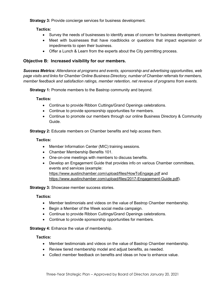**Strategy 3: Provide concierge services for business development.** 

**Tactics:**

- Survey the needs of businesses to identify areas of concern for business development.
- Meet with businesses that have roadblocks or questions that impact expansion or impediments to open their business.
- Offer a Lunch & Learn from the experts about the City permitting process.

#### **Objective B: Increased visibility for our members.**

*Success Metrics: Attendance at programs and events, sponsorship and advertising opportunities, web page visits and links for Chamber Online Business Directory, number of Chamber referrals for members, member feedback and satisfaction ratings, member retention, net revenue of programs from events.*

**Strategy 1:** Promote members to the Bastrop community and beyond.

**Tactics:**

- Continue to provide Ribbon Cuttings/Grand Openings celebrations.
- Continue to provide sponsorship opportunities for members.
- Continue to promote our members through our online Business Directory & Community Guide.

**Strategy 2:** Educate members on Chamber benefits and help access them.

#### **Tactics:**

- Member Information Center (MIC) training sessions.
- Chamber Membership Benefits 101.
- One-on-one meetings with members to discuss benefits.
- Develop an Engagement Guide that provides info on various Chamber committees, events and services (example: <https://www.austinchamber.com/upload/files/HowToEngage.pdf> and [https://www.austinchamber.com/upload/files/2017-Engagement-Guide.pdf\)](https://www.austinchamber.com/upload/files/2017-Engagement-Guide.pdf).

**Strategy 3:** Showcase member success stories.

#### **Tactics:**

- Member testimonials and videos on the value of Bastrop Chamber membership.
- Begin a Member of the Week social media campaign.
- Continue to provide Ribbon Cuttings/Grand Openings celebrations.
- Continue to provide sponsorship opportunities for members.

**Strategy 4:** Enhance the value of membership.

#### **Tactics:**

- Member testimonials and videos on the value of Bastrop Chamber membership.
- Review tiered membership model and adjust benefits, as needed.
- Collect member feedback on benefits and ideas on how to enhance value.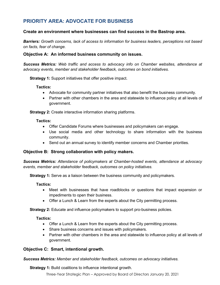# **PRIORITY AREA: ADVOCATE FOR BUSINESS**

#### **Create an environment where businesses can find success in the Bastrop area.**

*Barriers: Growth concerns, lack of access to information for business leaders, perceptions not based on facts, fear of change.* 

#### **Objective A: An informed business community on issues.**

*Success Metrics: Web traffic and access to advocacy info on Chamber websites, attendance at advocacy events, member and stakeholder feedback, outcomes on bond initiatives.*

**Strategy 1:** Support initiatives that offer positive impact.

#### **Tactics:**

- Advocate for community partner initiatives that also benefit the business community.
- Partner with other chambers in the area and statewide to influence policy at all levels of government.

**Strategy 2:** Create interactive information sharing platforms.

#### **Tactics:**

- Offer Candidate Forums where businesses and policymakers can engage.
- Use social media and other technology to share information with the business community.
- Send out an annual survey to identify member concerns and Chamber priorities.

#### **Objective B: Strong collaboration with policy makers.**

*Success Metrics: Attendance of policymakers at Chamber-hosted events, attendance at advocacy events, member and stakeholder feedback, outcomes on policy initiatives.* 

**Strategy 1:** Serve as a liaison between the business community and policymakers.

#### **Tactics:**

- Meet with businesses that have roadblocks or questions that impact expansion or impediments to open their business.
- Offer a Lunch & Learn from the experts about the City permitting process.

**Strategy 2:** Educate and influence policymakers to support pro-business policies.

#### **Tactics:**

- Offer a Lunch & Learn from the experts about the City permitting process.
- Share business concerns and issues with policymakers.
- Partner with other chambers in the area and statewide to influence policy at all levels of government.

#### **Objective C: Smart, intentional growth.**

*Success Metrics: Member and stakeholder feedback, outcomes on advocacy initiatives.*

**Strategy 1:** Build coalitions to influence intentional growth.

Three-Year Strategic Plan – Approved by Board of Directors January 20, 2021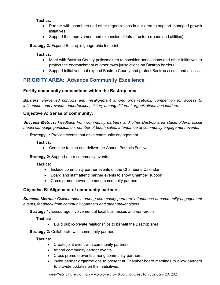#### **Tactics:**

- Partner with chambers and other organizations in our area to support managed growth initiatives.
- Support the improvement and expansion of infrastructure (roads and utilities).

**Strategy 2:** Expand Bastrop's geographic footprint.

#### **Tactics:**

- Meet with Bastrop County policymakers to consider annexations and other initiatives to protect the encroachment of other town jurisdictions on Bastrop borders.
- Support initiatives that expand Bastrop County and protect Bastrop assets and access.

# **PRIORITY AREA: Advance Community Excellence**

#### **Fortify community connections within the Bastrop area**

*Barriers: Perceived conflicts and misalignment among organizations, competition for access to influencers and revenue opportunities, history among different organizations and leaders.* 

#### **Objective A: Sense of community.**

*Success Metrics: Feedback from community partners and other Bastrop area stakeholders, social media campaign participation, number of booth sales, attendance at community engagement events.*

**Strategy 1:** Provide events that drive community engagement.

**Tactics:**

• Continue to plan and deliver the Annual Patriotic Festival.

**Strategy 2:** Support other community events.

#### **Tactics:**

- Include community partner events on the Chamber's Calendar.
- Board and staff attend partner events to show Chamber support.
- Cross promote events among community partners.

#### **Objective B: Alignment of community partners.**

*Success Metrics: Collaborations among community partners, attendance at community engagement events, feedback from community partners and other stakeholders.*

**Strategy 1:** Encourage involvement of local businesses and non-profits.

**Tactics:**

• Build public-private relationships to benefit the Bastrop area**.**

**Strategy 2:** Collaborate with community partners.

**Tactics:**

- Create joint event with community partners.
- Attend community partner events.
- Cross promote events among community partners.
- Invite partner organizations to present at Chamber board meetings to allow partners to provide updates on their initiatives.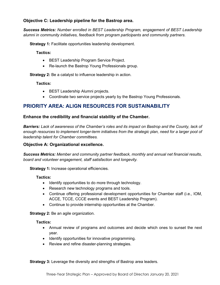#### **Objective C: Leadership pipeline for the Bastrop area.**

*Success Metrics: Number enrolled in BEST Leadership Program, engagement of BEST Leadership alumni in community initiatives, feedback from program participants and community partners.*

**Strategy 1: Facilitate opportunities leadership development.** 

**Tactics:**

- BEST Leadership Program Service Project.
- Re-launch the Bastrop Young Professionals group.

**Strategy 2:** Be a catalyst to influence leadership in action.

#### **Tactics:**

- BEST Leadership Alumni projects.
- Coordinate two service projects yearly by the Bastrop Young Professionals.

#### **PRIORITY AREA: ALIGN RESOURCES FOR SUSTAINABILITY**

#### **Enhance the credibility and financial stability of the Chamber.**

*Barriers: Lack of awareness of the Chamber's roles and its impact on Bastrop and the County, lack of enough resources to implement longer-term initiatives from the strategic plan, need for a larger pool of leadership talent for Chamber committees.*

#### **Objective A: Organizational excellence.**

*Success Metrics: Member and community partner feedback, monthly and annual net financial results, board and volunteer engagement, staff satisfaction and longevity.*

**Strategy 1:** Increase operational efficiencies.

#### **Tactics:**

- Identify opportunities to do more through technology.
- Research new technology programs and tools.
- Continue offering professional development opportunities for Chamber staff (i.e., IOM, ACCE, TCCE, CCCE events and BEST Leadership Program).
- Continue to provide internship opportunities at the Chamber.

**Strategy 2: Be an agile organization.** 

#### **Tactics:**

- Annual review of programs and outcomes and decide which ones to sunset the next year.
- Identify opportunities for innovative programming.
- Review and refine disaster-planning strategies.

**Strategy 3:** Leverage the diversity and strengths of Bastrop area leaders.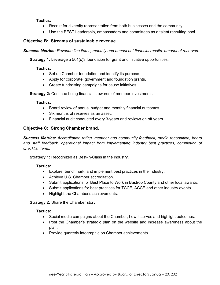#### **Tactics:**

- Recruit for diversity representation from both businesses and the community.
- Use the BEST Leadership, ambassadors and committees as a talent recruiting pool.

#### **Objective B: Streams of sustainable revenue**

*Success Metrics: Revenue line items, monthly and annual net financial results, amount of reserves.*

**Strategy 1:** Leverage a 501(c)3 foundation for grant and initiative opportunities.

#### **Tactics:**

- Set up Chamber foundation and identify its purpose.
- Apply for corporate, government and foundation grants.
- Create fundraising campaigns for cause initiatives.

**Strategy 2:** Continue being financial stewards of member investments.

#### **Tactics:**

- Board review of annual budget and monthly financial outcomes.
- Six months of reserves as an asset.
- Financial audit conducted every 3-years and reviews on off years.

#### **Objective C: Strong Chamber brand.**

*Success Metrics: Accreditation rating, member and community feedback, media recognition, board and staff feedback, operational impact from implementing industry best practices, completion of checklist items.*

**Strategy 1:** Recognized as Best-in-Class in the industry.

#### **Tactics:**

- Explore, benchmark, and implement best practices in the industry.
- Achieve U.S. Chamber accreditation.
- Submit applications for Best Place to Work in Bastrop County and other local awards.
- Submit applications for best practices for TCCE, ACCE and other industry events.
- Highlight the Chamber's achievements.

**Strategy 2:** Share the Chamber story.

#### **Tactics:**

- Social media campaigns about the Chamber, how it serves and highlight outcomes.
- Post the Chamber's strategic plan on the website and increase awareness about the plan.
- Provide quarterly infographic on Chamber achievements.